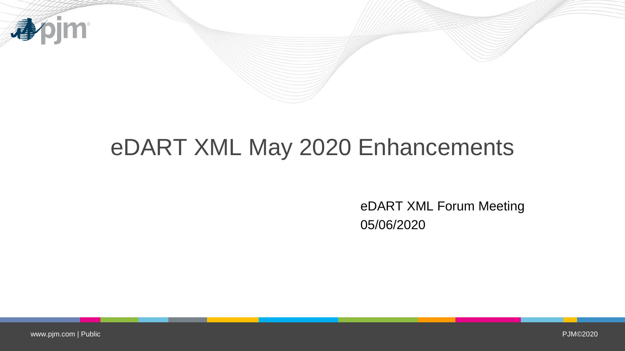

## eDART XML May 2020 Enhancements

eDART XML Forum Meeting 05/06/2020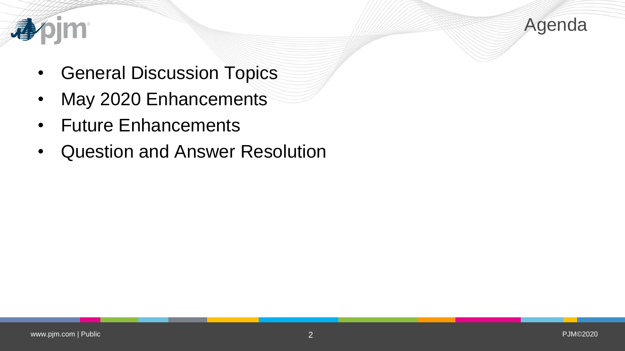



- General Discussion Topics
- May 2020 Enhancements
- Future Enhancements
- Question and Answer Resolution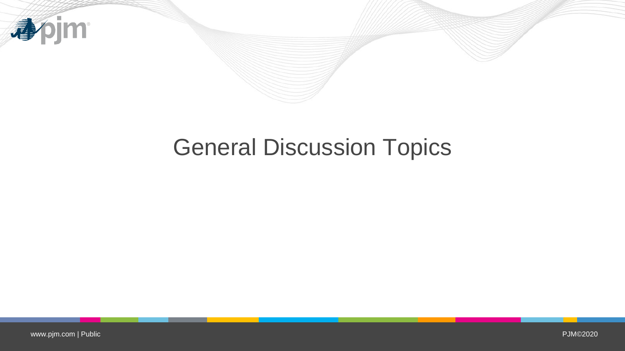

# General Discussion Topics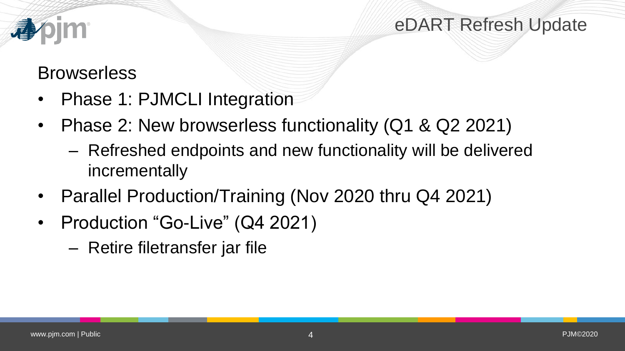

eDART Refresh Update

## **Browserless**

- Phase 1: PJMCLI Integration
- Phase 2: New browserless functionality (Q1 & Q2 2021)
	- Refreshed endpoints and new functionality will be delivered incrementally
- Parallel Production/Training (Nov 2020 thru Q4 2021)
- Production "Go-Live" (Q4 2021)
	- Retire filetransfer jar file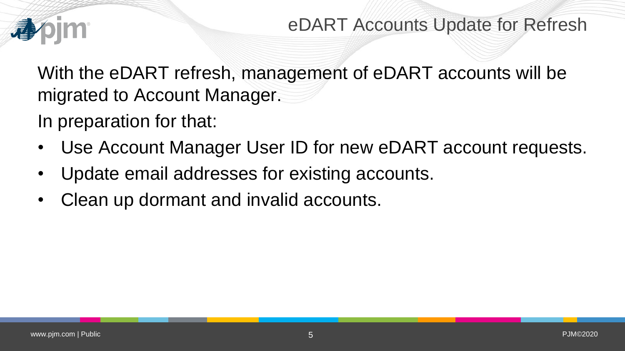

With the eDART refresh, management of eDART accounts will be migrated to Account Manager.

In preparation for that:

- Use Account Manager User ID for new eDART account requests.
- Update email addresses for existing accounts.
- Clean up dormant and invalid accounts.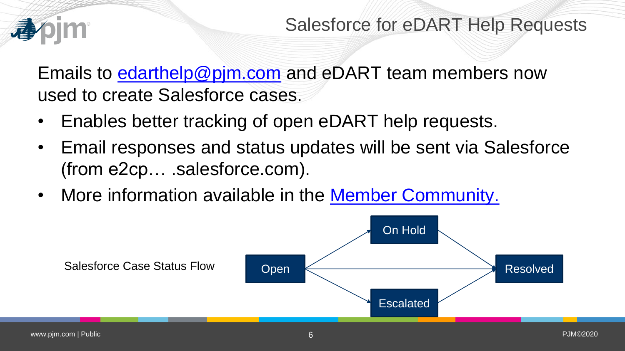

Emails to [edarthelp@pjm.com](mailto:edarthelp@pjm.com) and eDART team members now used to create Salesforce cases.

- Enables better tracking of open eDART help requests.
- Email responses and status updates will be sent via Salesforce (from e2cp… .salesforce.com).
- More information available in the [Member Community.](https://pjm.force.com/Members/s/article/PJM-Customer-Support-and-Case-Management-via-Email-and-Communities)

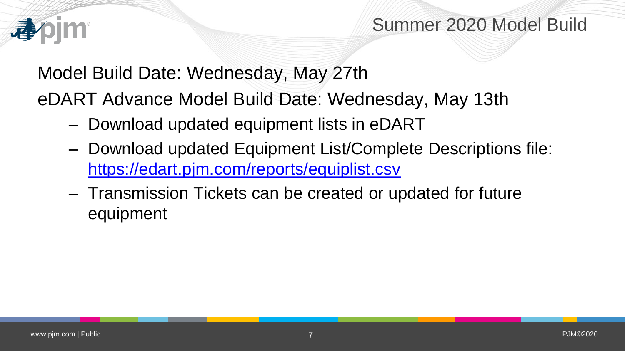

## Summer 2020 Model Build

Model Build Date: Wednesday, May 27th

eDART Advance Model Build Date: Wednesday, May 13th

- Download updated equipment lists in eDART
- Download updated Equipment List/Complete Descriptions file: <https://edart.pjm.com/reports/equiplist.csv>
- Transmission Tickets can be created or updated for future equipment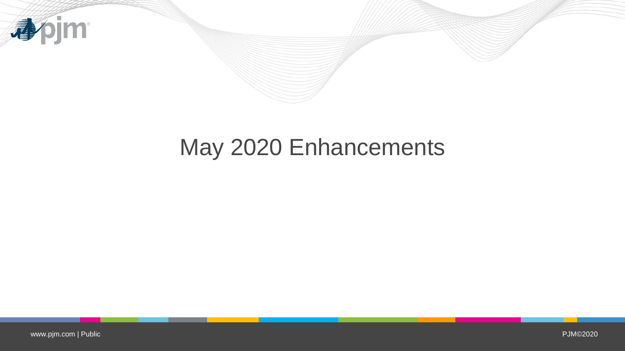

# May 2020 Enhancements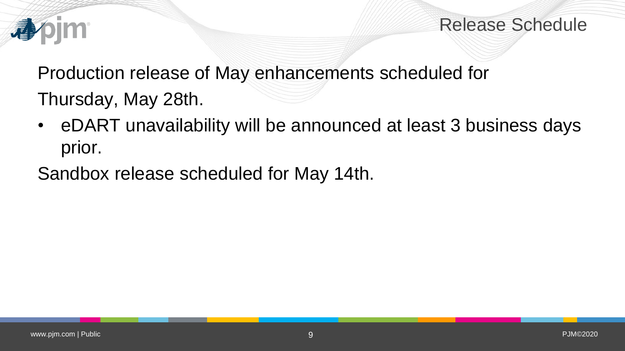

Release Schedule

Production release of May enhancements scheduled for

Thursday, May 28th.

- eDART unavailability will be announced at least 3 business days prior.
- Sandbox release scheduled for May 14th.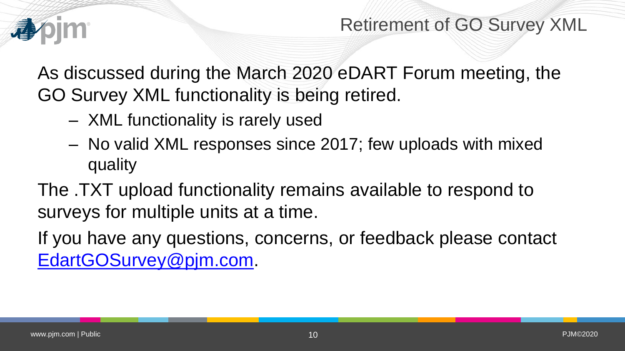

As discussed during the March 2020 eDART Forum meeting, the GO Survey XML functionality is being retired.

- XML functionality is rarely used
- No valid XML responses since 2017; few uploads with mixed quality

The .TXT upload functionality remains available to respond to surveys for multiple units at a time.

If you have any questions, concerns, or feedback please contact [EdartGOSurvey@pjm.com.](mailto:EdartGOSurvey@pjm.com)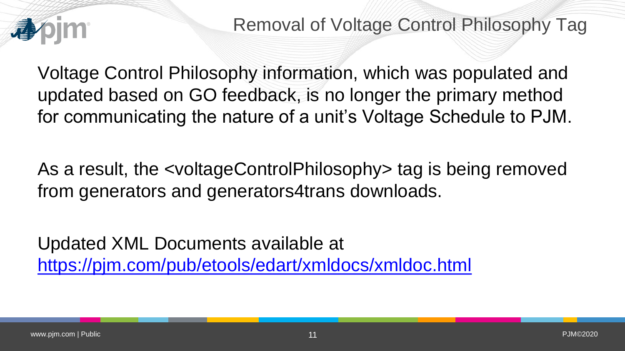

Voltage Control Philosophy information, which was populated and updated based on GO feedback, is no longer the primary method for communicating the nature of a unit's Voltage Schedule to PJM.

As a result, the <voltageControlPhilosophy> tag is being removed from generators and generators4trans downloads.

Updated XML Documents available at <https://pjm.com/pub/etools/edart/xmldocs/xmldoc.html>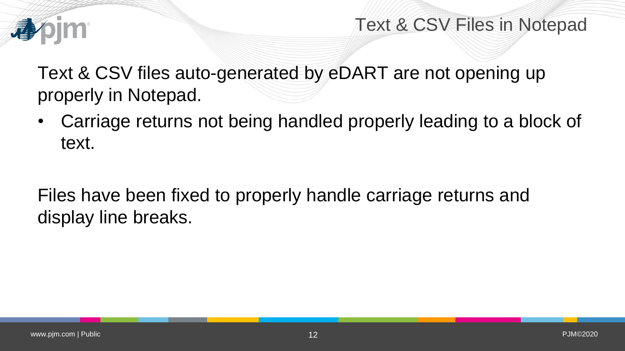

Text & CSV Files in Notepad

Text & CSV files auto-generated by eDART are not opening up properly in Notepad.

• Carriage returns not being handled properly leading to a block of text.

Files have been fixed to properly handle carriage returns and display line breaks.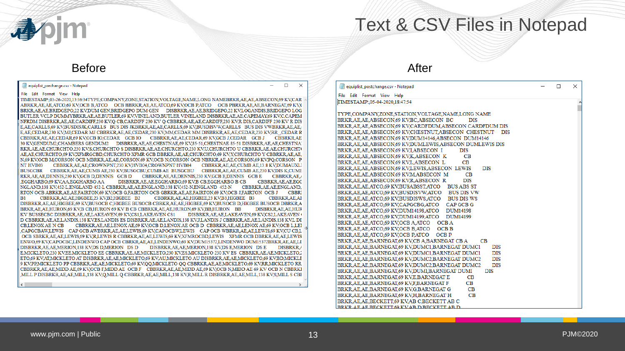

### Text & CSV Files in Notepad

#### Before After

#### equiplist\_prechange.csv - Notepad

#### File Edit Format View Help

TIMESTAMP: 03-26-2020,13:36:34TYPE,COMPANY,ZONE,STATION,VOLTAGE,NAME,LONG NAMEBRKR,AE,AE,ABSECON,69 KV,CAR ABRKR,AE,AE,ATCO,69 KV,OCB B,ATCO OCB BBRKR,AE,AE,ATCO,69 KV,OCB P,ATCO OCB PBRKR,AE,AE,BARNEGAT,69 KV,( BRKR,AE,AE,BRIDGEPO,22 KV,DUM GEN,BRIDGEPO DUM GEN DISBRKR,AE,AE,BRIDGEPO,22 KV,LOGANDIS,BRIDGEPO LOG BUTLER VCLP DUMMYBRKR.AE.AE.BUTLER.69 KV.VINELAND.BUTLER VINELAND DISBRKR.AE.AE.CAPEMAY.69 KV.C.CAPEM NFRDM DISBRKR, AE, AE, CARDIFF, 230 KV, Q CB, CARDIFF 230 KV Q CBBRKR, AE, AE, CARDIFF, 230 KV, R DIS, CARDIFF 230 KV R DIS E,AE,CARLLS,69 KV,BUSDISJK,CARLLS BUS DIS JKBRKR,AE,AE,CARLLS,69 KV,BUSDISVW,CARLLS BUS DIS VWBRKR,AE,AE, E,AE,CEDAR,230 KV,MJ,CEDAR MJ CBBRKR,AE,AE,CEDAR,230 KV,MM,CEDAR MM DISBRKR,AE,AE,CEDAR,230 KV,RR\_,CEDAR R CBBRKR,AE,AE,CEDAR.69 KV,GCB IO,CEDAR GCB IO CBBRKR,AE,AE,CEDAR.69 KV,GCB J,CEDAR GCB J CBBRKR,AE 30 KV,GENDUM2,CHAMBERS GENDUM2 DISBRKR,AE,AE,CHESTNAE,69 KV,85-51,CHESTNAE 85-51 DISBRKR,AE,AE,CHESTNA RKR, AE, AE, CHURCHTO, 230 KV, S, CHURCHTO S DISBRKR, AE, AE, CHURCHTO, 230 KV, U, CHURCHTO U CBBRKR, AE, AE, CHURCHTO AE, AE, CHURCHTO, 69 KV, XFMRGCBD, CHURCHTO XFMR GCB DBRKR, AE, AE, CHURCHTO, 69 KV, Y, CHURCHTO Y CBBRKR, AE, AE, N,69 KV,OCB M,CORSON OCB MBRKR,AE,AE,CORSON,69 KV,OCB N,CORSON OCB NBRKR,AE,AE,CORSON,69 KV,PQ,CORSON P NT HVB03 CBBRKR, AE, AE, CROWNPNT, 230 KV, HVB04, CROWNPNT HVB04 CBBRKRAE.AE.CUMB AE.13.8 KV.DUMAUXLI **BUSGCBR** CBBRKR, AE, AE, CUMB AE, 230 KV, BUSGCBU, CUMB AE BUSGCBU CBBRKR.AE.AE.CUMB AE.230 KV.DIS K.CUME CBBRKR\_AE\_AE\_DENNIS\_230 KV,GCB E\_DENNIS GCB E RKR\_AE\_AE\_DENNIS\_230 KV\_GCB D\_DENNIS GCB D **CBBRKRAE** ,EGGHARBO,69 KV,AA,EGGHARBO AA DISBRKR, AE, AE, EGGHARBO, 69 KV, B CB, EGGHARBO B CB **CBBRKRAE AE EGG** NGLAND,138 KV,452-L,ENGLAND 452-L CBBRKR,AE,AE,ENGLAND,138 KV,452-N,ENGLAND 452-N CBBRKRAE.AE.ENGLAND. RTON OCB ABRKR, AE, AE, FAIRTON, 69 KV, OCB G, FAIRTON OCB GBRKR, AE, AE, FAIRTON, 69 KV, OCB J, FAIRTON OCB J **CBBR** B<sub>1</sub> CBBRKR AE AE HIGBEE 23 KV B2 HIGBEE B2 CBBRKR AE AE HIGBEE 23 KV B3 HIGBEE B3 **CBBRKRAEAI** DISBRKR, AE, AE, HIGBEE, 69 KV, BUSOCB C, HIGBEE BUSOCB CBRKR, AE, AE, HIGBEE, 69 KV, BUSOCB D, HIGBEE BUSOCB DBRKR, A BRKR, AE, AE, HURON, 69 KV, B CB, HURON 69 KV B CB CBBRKR, AE, AE, HURON, 69 KV, BB, HURON BB DISBRKR AE AE HUR KV BUSSECBC DISBRKR, AE, AE, LAKEAVEN, 69 KV, CS1, LAKEAVEN CS1 DISBRKR, AE, AE, LAKEAVEN, 69 KV, CS2, LAKEAVEN D CBBRKR, AE, AE, LANDIS, 138 KV, ES, LANDIS ES DISBRKR, AE, AE, LANDIS, 138 KV, J, LANDIS J CBBRKR, AE, AE, LANDIS, 138 KV, LDI **CB.LENOX AE N CB** CBBRKR, AE, LENOX AE, 69 KV, OCB D, LENOX AE OCB D CBBRKR, AE, LENOX AE, 69 KV, OCB L, LEI ,CAPGCBAW,LEWIS CAP GCB AWBRKR,AE,AE,LEWIS,69 KV,CAPOCBW,LEWIS CAP OCB WBRKR,AE,AE,LEWIS,69 KV,CU CB,L OCB SBRKR, AE, AE, LEWIS, 69 KV, R, LEWIS R CBBRKR, AE, AE, LEWIS, 69 KV, XFMROCBD, LEWIS XFMROCB DBRKR, AE, AE, LEWIS ENWO.69 KV.CAPOCBC.LINDENWO CAP OCB CBRKR.AE.AE.LINDENWO.69 KV.DUM15372.LINDENWO DUM15372BRKR.AE.AE.LI DISBRKR, AE, AE, MERION, 138 KV, DS D, MERION DS D DISBRKR, AE, AE, MERION, 138 KV, DS E, MERION DS E **DISBRKRA** E,MICKLETO,230 KV,EE,MICKLETO EE CBBRKR,AE,AE,MICKLETO,230 KV,ES,MICKLETO 230 KV ES CBBRKR,AE,AE,MICKLETO,2 ETO,69 KV,AT,MICKLETO AT DISBRKR,AE,AE,MICKLETO,69 KV,AU,MICKLETO AU DISBRKR,AE,AE,MICKLETO,69 KV,BD,MICKLI 9 KV,PP,MICKLETO PP CBBRKR,AE,AE,MICKLETO,69 KV,QQ,MICKLETO QQ CBBRKR,AE,AE,MICKLETO,69 KV,RR,MICKLETO RR CBBRKR, AE, AE, MIDD AE, 69 KV, OCB F, MIDD AE OCB F CBBRKR, AE, AE, MIDD AE, 69 KV, OCB N, MIDD AE 69 KV OCB N CBBRKI MILL P DISBRKR, AE, AE, MILL, 138 KV, Q, MILL Q CBBRKR, AE, AE, MILL, 138 KV, R, MILL R DISBRKR, AE, AE, MILL, 138 KV, S, MILL S CBI

| equiplist_postchange.csv - Notepad                                 | $\Box$ | $\times$ |
|--------------------------------------------------------------------|--------|----------|
| File Edit Format View Help                                         |        |          |
| TIMESTAMP: 05-04-2020, 18:47:54                                    |        | ۸        |
|                                                                    |        |          |
| TYPE.COMPANY.ZONE.STATION.VOLTAGE.NAME.LONG NAME                   |        |          |
| BRKRAE.AE.ABSECON.69 KV.BC.ABSECON BC<br><b>DIS</b>                |        |          |
| BRKR.AE.AE.ABSECON.69 KV.CARDFDUM.ABSECON CARDFDUM DIS             |        |          |
| BRKR AE AE ABSECON 69 KV CHESTNUT ABSECON CHESTNUT<br><b>DIS</b>   |        |          |
| BRKR.AE.AE.ABSECON.69 KV.DUM14146.ABSECON DUM14146                 |        |          |
| BRKR.AE.AE.ABSECON.69 KV.DUMLEWIS.ABSECON DUMLEWIS DIS             |        |          |
| BRKRAE.AE.ABSECON.69 KV.I.ABSECON I<br><b>DIS</b>                  |        |          |
| BRKRAE.AE.ABSECON.69 KV.K.ABSECON K<br>CB                          |        |          |
| BRKRAE.AE.ABSECON.69 KV.L.ABSECON L<br>CB                          |        |          |
| BRKRAE.AE.ABSECON.69 KV.LEWIS.ABSECON LEWIS<br><b>DIS</b>          |        |          |
| BRKRAE.AE.ABSECON.69 KVM.ABSECON M<br>CВ                           |        |          |
| BRKRAE.AE.ABSECON.69 KV.R.ABSECON R<br><b>DIS</b>                  |        |          |
| BRKRAE.AE.ATCO.69 KV.BUSABSST.ATCO BUS ABS ST                      |        |          |
| BRKRAEAEATCO.69 KV.BUSDISVW.ATCO BUS DIS VW                        |        |          |
| BRKR, AE, AE, ATCO, 69 KV, BUSDISWS, ATCO BUS DIS WS               |        |          |
| BRKRAEAEATCO.69 KV.CAPGCBG.ATCO CAP GCB G                          |        |          |
| BRKRAE.AE.ATCO.69 KV.DUM14198.ATCO<br><b>DUM14198</b>              |        |          |
| BRKR, AE, AE, ATCO, 69 KV, DUM14199, ATCO DUM14199                 |        |          |
| BRKR AE AE ATCO 69 KV OCB A ATCO<br>OCB <sub>A</sub>               |        |          |
| BRKRAE.AE.ATCO.69 KV.OCB B.ATCO<br><b>OCB B</b>                    |        |          |
| BRKRAEAEATCO.69 KV.OCB PATCO OCB P                                 |        |          |
| BRKR, AE, AE, BARNEGAT, 69 KV, CB A, BARNEGAT CB A<br>CB           |        |          |
| BRKR AE AE BARNEGAT 69 KV DUMC1 BARNEGAT DUMC1<br><b>DIS</b>       |        |          |
| BRKRAE.AE.BARNEGAT.69 KV.DUMC1.BARNEGAT DUMC1<br><b>DIS</b>        |        |          |
| BRKRAE.AE.BARNEGAT.69 KV.DUMC2.BARNEGAT DUMC2<br><b>DIS</b>        |        |          |
| BRKR, AE, AE, BARNEGAT, 69 KV, DUMC2, BARNEGAT DUMC2<br><b>DIS</b> |        |          |
| BRKRAE.AE.BARNEGAT.69 KV.DUMI.BARNEGAT DUMI<br><b>DIS</b>          |        |          |
| BRKRAE.AE.BARNEGAT.69 KV.E.BARNEGAT E<br>CB                        |        |          |
| BRKRAE.AE.BARNEGAT.69 KV.F.BARNEGAT F<br>CB                        |        |          |
| BRKRAE.AE.BARNEGAT.69 KV.G.BARNEGAT G<br>CB                        |        |          |
| BRKRAE AE BARNEGAT 69 KV.H.BARNEGAT H<br>CB                        |        |          |
| BRKR, AE, AE, BECKETT, 69 KV, AB C, BECKETT AB C                   |        |          |
| BRKR AE AE BECKETT 69 KVAB D BECKETT AB D                          |        |          |

 $\Box$ 

 $\times$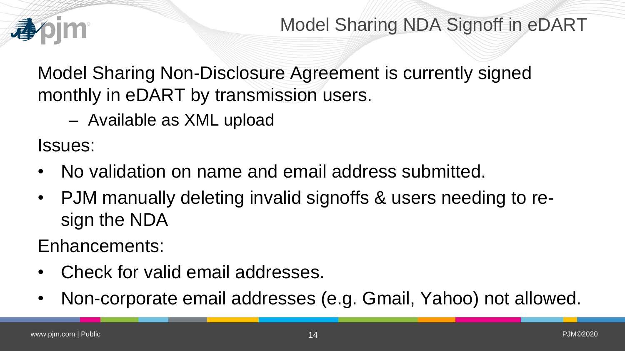

Model Sharing NDA Signoff in eDART

Model Sharing Non-Disclosure Agreement is currently signed monthly in eDART by transmission users.

– Available as XML upload

Issues:

- No validation on name and email address submitted.
- PJM manually deleting invalid signoffs & users needing to resign the NDA

Enhancements:

- Check for valid email addresses.
- Non-corporate email addresses (e.g. Gmail, Yahoo) not allowed.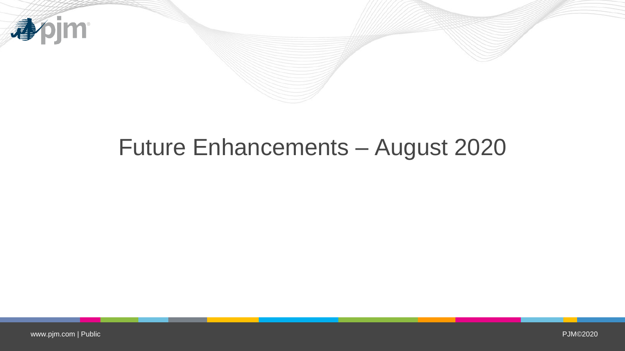

## Future Enhancements – August 2020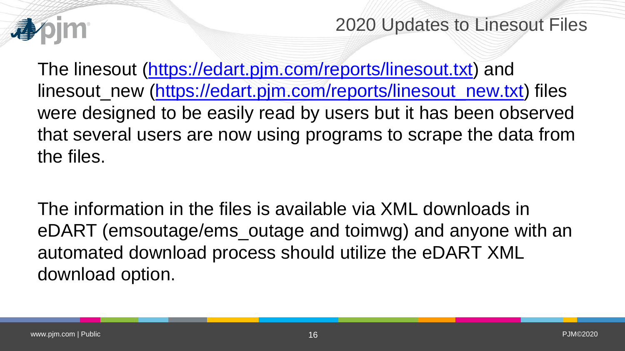

2020 Updates to Linesout Files

The linesout ([https://edart.pjm.com/reports/linesout.txt\)](https://edart.pjm.com/reports/linesout.txt) and linesout\_new ([https://edart.pjm.com/reports/linesout\\_new.txt\)](https://edart.pjm.com/reports/linesout_new.txt) files were designed to be easily read by users but it has been observed that several users are now using programs to scrape the data from the files.

The information in the files is available via XML downloads in eDART (emsoutage/ems\_outage and toimwg) and anyone with an automated download process should utilize the eDART XML download option.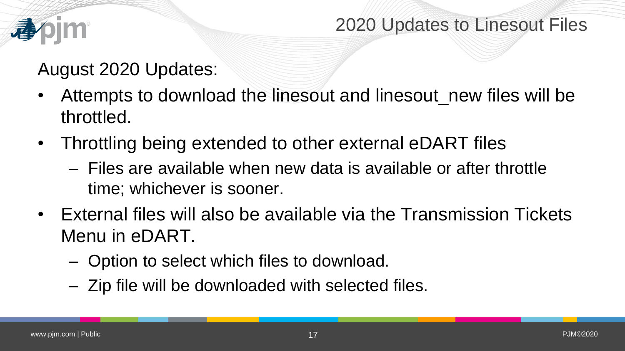

### 2020 Updates to Linesout Files

## August 2020 Updates:

- Attempts to download the linesout and linesout\_new files will be throttled.
- Throttling being extended to other external eDART files
	- Files are available when new data is available or after throttle time; whichever is sooner.
- External files will also be available via the Transmission Tickets Menu in eDART.
	- Option to select which files to download.
	- Zip file will be downloaded with selected files.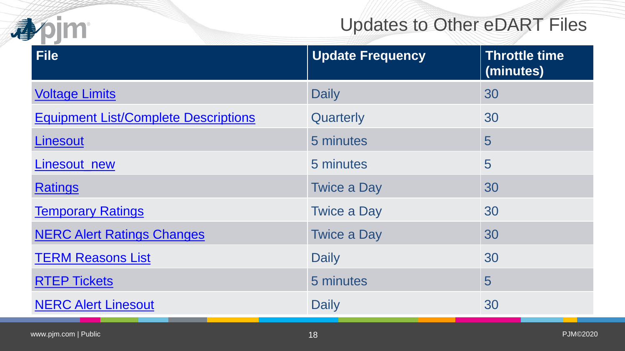

## Updates to Other eDART Files

| <b>File</b>                                 | <b>Update Frequency</b> | <b>Throttle time</b><br>(minutes) |
|---------------------------------------------|-------------------------|-----------------------------------|
| <b>Voltage Limits</b>                       | <b>Daily</b>            | 30                                |
| <b>Equipment List/Complete Descriptions</b> | Quarterly               | 30                                |
| Linesout                                    | 5 minutes               | 5                                 |
| Linesout_new                                | 5 minutes               | 5                                 |
| <b>Ratings</b>                              | <b>Twice a Day</b>      | 30                                |
| <b>Temporary Ratings</b>                    | <b>Twice a Day</b>      | 30                                |
| <b>NERC Alert Ratings Changes</b>           | <b>Twice a Day</b>      | 30                                |
| <b>TERM Reasons List</b>                    | Daily                   | 30                                |
| <b>RTEP Tickets</b>                         | 5 minutes               | 5                                 |
| <b>NERC Alert Linesout</b>                  | <b>Daily</b>            | 30                                |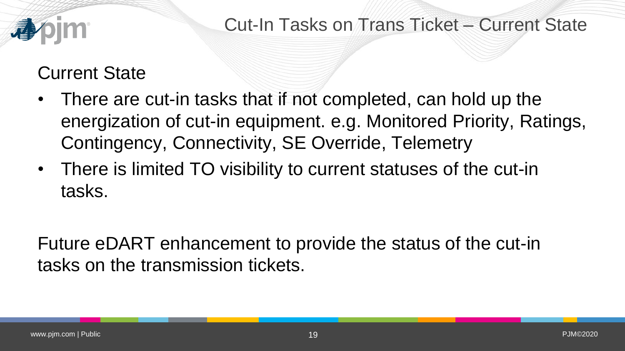

Cut-In Tasks on Trans Ticket – Current State

## Current State

- There are cut-in tasks that if not completed, can hold up the energization of cut-in equipment. e.g. Monitored Priority, Ratings, Contingency, Connectivity, SE Override, Telemetry
- There is limited TO visibility to current statuses of the cut-in tasks.

Future eDART enhancement to provide the status of the cut-in tasks on the transmission tickets.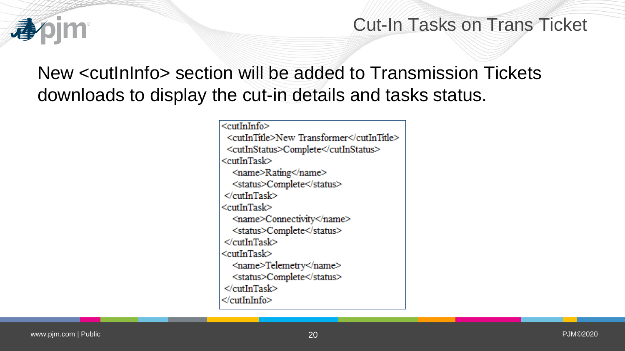

### Cut-In Tasks on Trans Ticket

## New <cutInInfo> section will be added to Transmission Tickets downloads to display the cut-in details and tasks status.

<cutInInfo> <cutInTitle>New Transformer</cutInTitle> <cutInStatus>Complete</cutInStatus> <cutInTask> <name>Rating</name> <status>Complete</status>  $\le$ /cutInTask> <cutInTask> <name>Connectivity</name> <status>Complete</status>  $\le$ /cutInTask> <cutInTask> <name>Telemetry</name> <status>Complete</status>  $\le$ /cutInTask> </cutInInfo>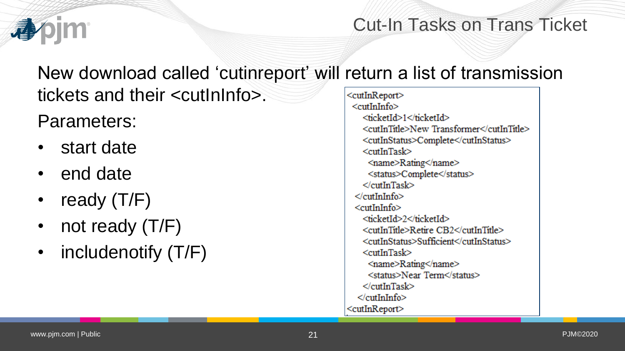

## Cut-In Tasks on Trans Ticket

New download called 'cutinreport' will return a list of transmission tickets and their <cutInInfo>. <cutInReport>

Parameters:

- start date
- end date
- ready (T/F)
- not ready (T/F)
- includenotify (T/F)

<cutInInfo> <ticketId>1</ticketId> <cutInTitle>New Transformer</cutInTitle> <cutInStatus>Complete</cutInStatus>  $<$ cutInTask $>$ <name>Rating</name> <status>Complete</status>  $\ll$ cutInTask $\gt$  $\ll$ cutInInfo>  $<$ cutInInfo $>$ <ticketId>2</ticketId> <cutInTitle>Retire CB2</cutInTitle> <cutInStatus>Sufficient</cutInStatus>  $<$ cutInTask $>$ <name>Rating</name> <status>Near Term</status>  $\le$ /cutInTask>  $\ll$ cutInInfo> <cutInReport>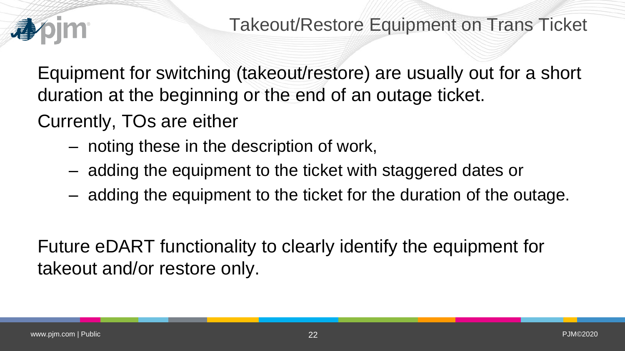

Equipment for switching (takeout/restore) are usually out for a short duration at the beginning or the end of an outage ticket.

Currently, TOs are either

- noting these in the description of work,
- adding the equipment to the ticket with staggered dates or
- adding the equipment to the ticket for the duration of the outage.

Future eDART functionality to clearly identify the equipment for takeout and/or restore only.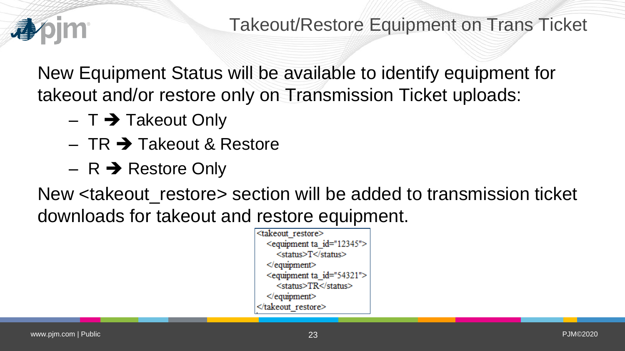

New Equipment Status will be available to identify equipment for takeout and/or restore only on Transmission Ticket uploads:

- $-$  T  $\rightarrow$  Takeout Only
- $-$  TR  $\rightarrow$  Takeout & Restore
- $-$  R  $\rightarrow$  Restore Only

New <takeout restore> section will be added to transmission ticket downloads for takeout and restore equipment.

> <takeout restore> <equipment ta id="12345"> <status>T</status>  $\leq$  equipment> <equipment ta id="54321"> <status>TR</status>  $\leq$  equipment> </takeout restore>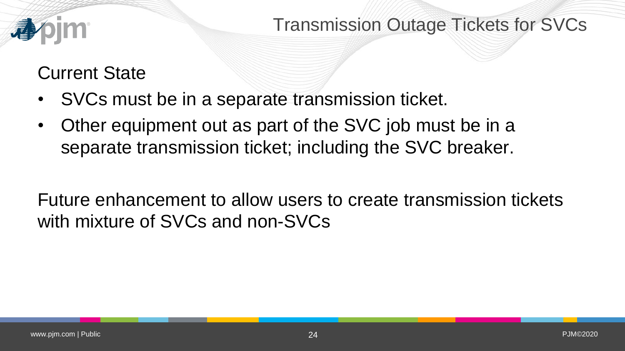

Transmission Outage Tickets for SVCs

## Current State

- SVCs must be in a separate transmission ticket.
- Other equipment out as part of the SVC job must be in a separate transmission ticket; including the SVC breaker.

Future enhancement to allow users to create transmission tickets with mixture of SVCs and non-SVCs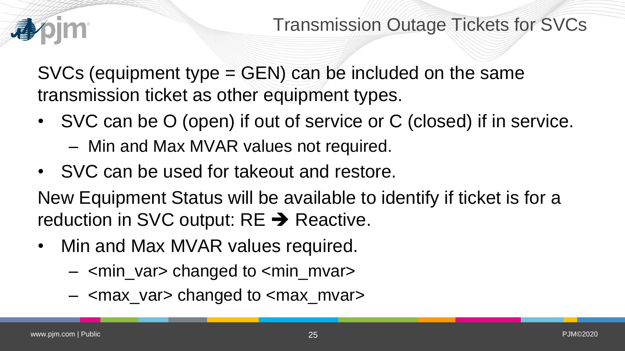

Transmission Outage Tickets for SVCs

SVCs (equipment type = GEN) can be included on the same transmission ticket as other equipment types.

- SVC can be O (open) if out of service or C (closed) if in service.
	- Min and Max MVAR values not required.
- SVC can be used for takeout and restore.

New Equipment Status will be available to identify if ticket is for a reduction in SVC output:  $RE \rightarrow Reactive$ .

- Min and Max MVAR values required.
	- <min\_var> changed to <min\_mvar>
	- <max\_var> changed to <max\_mvar>